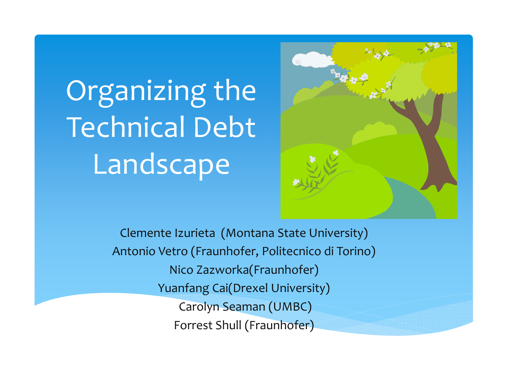# Organizing the Technical Debt **Landscape**



Clemente Izurieta (Montana State University) Antonio Vetro (Fraunhofer, Politecnico di Torino) Nico Zazworka(Fraunhofer) Yuanfang Cai(Drexel University) Carolyn Seaman (UMBC) Forrest Shull (Fraunhofer)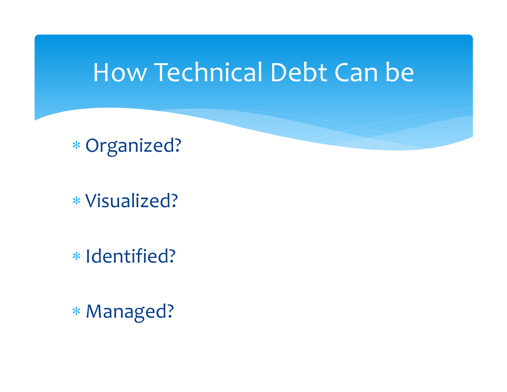## How Technical Debt Can be

Organized?

Visualized?

\* Identified?

Managed?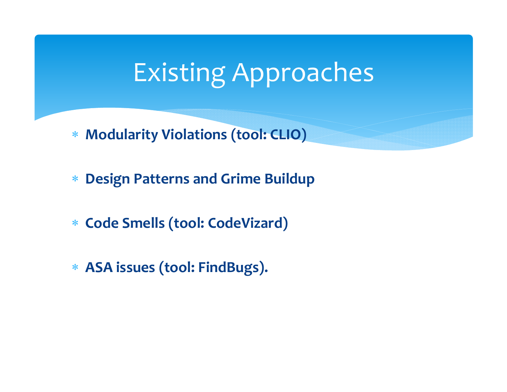# Existing Approaches

- **Modularity Violations (tool: CLIO)**
- $\ast$ **Design Patterns and Grime Buildup**
- **Code Smells (tool: CodeVizard)**
- **ASA issues (tool: FindBugs).**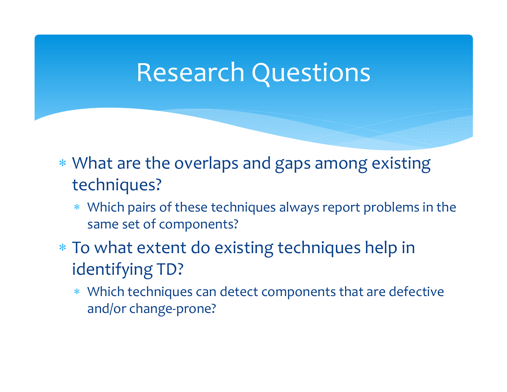#### Research Questions

- What are the overlaps and gaps among existing techniques?
	- Which pairs of these techniques always repor<sup>t</sup> problems in the same set of components?
- To what extent do existing techniques help in identifying TD?
	- Which techniques can detect components that are defective and/or change‐prone?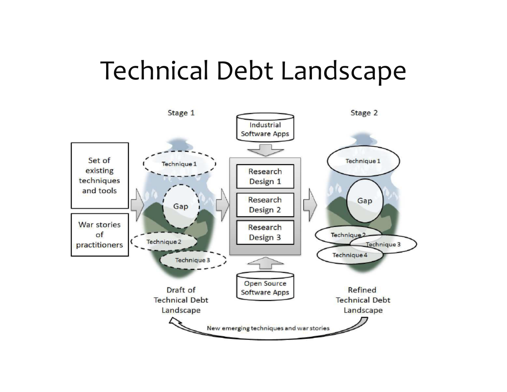## Technical Debt Landscape

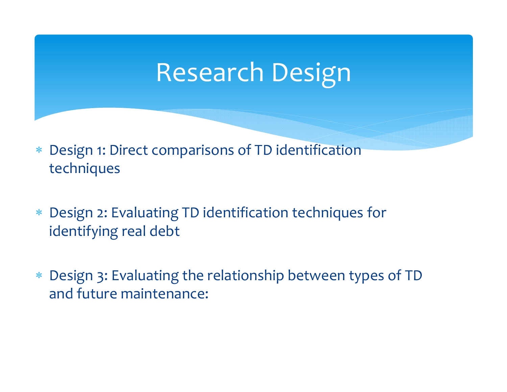# Research Design

- $*$  Design 1: Direct comparisons of TD identification techniques
- $*$  Design 2: Evaluating TD identification techniques for identifying real debt
- Design 3: Evaluating the relationship between types of TD and future maintenance: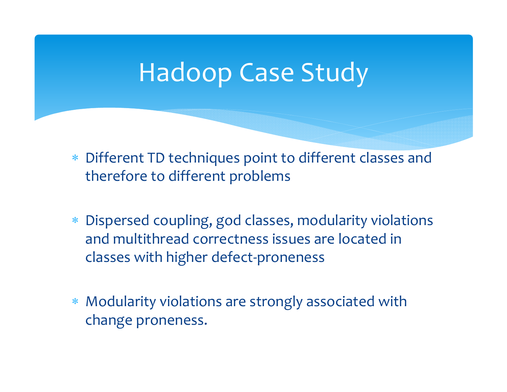## Hadoop Case Study

- Different TD techniques point to different classes and therefore to different problems
- Dispersed coupling, god classes, modularity violations and multithread correctness issues are located in classes with higher defect‐proneness
- $\ast$  Modularity violations are strongly associated with change proneness.